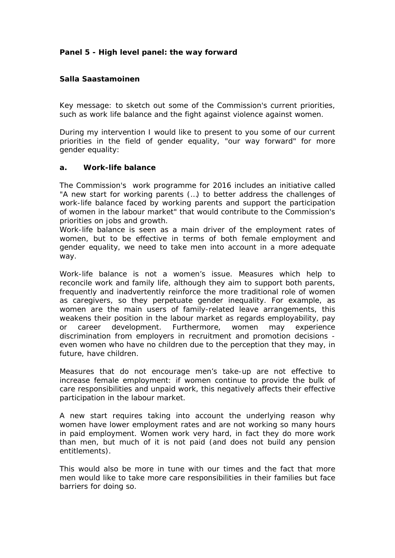**Panel 5 - High level panel: the way forward**

**Salla Saastamoinen**

Key message: to sketch out some of the Commission's current priorities, such as work life balance and the fight against violence against women.

During my intervention I would like to present to you some of our current priorities in the field of gender equality, "our way forward" for more gender equality:

#### **a. Work-life balance**

The Commission's work programme for 2016 includes an initiative called "A new start for working parents (…) to better address the challenges of work-life balance faced by working parents and support the participation of women in the labour market" that would contribute to the Commission's priorities on jobs and growth.

Work-life balance is seen as a main driver of the employment rates of women, but to be effective in terms of both female employment and gender equality, we need to take men into account in a more adequate way.

Work-life balance is not a women's issue. Measures which help to reconcile work and family life, although they aim to support both parents, frequently and inadvertently reinforce the more traditional role of women as caregivers, so they perpetuate gender inequality. For example, as women are the main users of family-related leave arrangements, this weakens their position in the labour market as regards employability, pay or career development. Furthermore, women may experience discrimination from employers in recruitment and promotion decisions even women who have no children due to the perception that they may, in future, have children.

Measures that do not encourage men's take-up are not effective to increase female employment: if women continue to provide the bulk of care responsibilities and unpaid work, this negatively affects their effective participation in the labour market.

A new start requires taking into account the underlying reason why women have lower employment rates and are not working so many hours in paid employment. Women work very hard, in fact they do more work than men, but much of it is not paid (and does not build any pension entitlements).

This would also be more in tune with our times and the fact that more men would like to take more care responsibilities in their families but face barriers for doing so.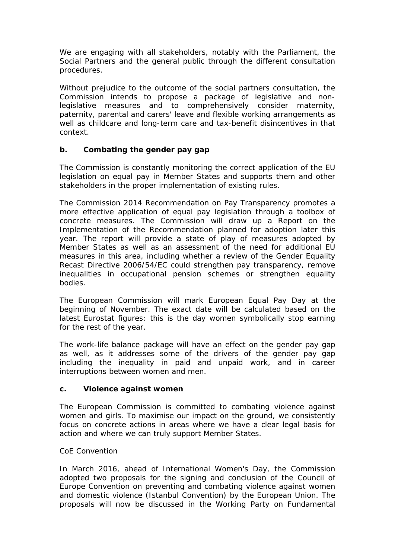We are engaging with all stakeholders, notably with the Parliament, the Social Partners and the general public through the different consultation procedures.

Without prejudice to the outcome of the social partners consultation, the Commission intends to propose a package of legislative and nonlegislative measures and to comprehensively consider maternity, paternity, parental and carers' leave and flexible working arrangements as well as childcare and long-term care and tax-benefit disincentives in that context.

# **b. Combating the gender pay gap**

The Commission is constantly monitoring the correct application of the EU legislation on equal pay in Member States and supports them and other stakeholders in the proper implementation of existing rules.

The Commission 2014 Recommendation on Pay Transparency promotes a more effective application of equal pay legislation through a toolbox of concrete measures. The Commission will draw up a Report on the Implementation of the Recommendation planned for adoption later this year. The report will provide a state of play of measures adopted by Member States as well as an assessment of the need for additional EU measures in this area, including whether a review of the Gender Equality Recast Directive 2006/54/EC could strengthen pay transparency, remove inequalities in occupational pension schemes or strengthen equality bodies.

The European Commission will mark European Equal Pay Day at the beginning of November. The exact date will be calculated based on the latest Eurostat figures: this is the day women symbolically stop earning for the rest of the year.

The work-life balance package will have an effect on the gender pay gap as well, as it addresses some of the drivers of the gender pay gap including the inequality in paid and unpaid work, and in career interruptions between women and men.

## **c. Violence against women**

The European Commission is committed to combating violence against women and girls. To maximise our impact on the ground, we consistently focus on concrete actions in areas where we have a clear legal basis for action and where we can truly support Member States.

## *CoE Convention*

In March 2016, ahead of International Women's Day, the Commission adopted two proposals for the signing and conclusion of the Council of Europe Convention on preventing and combating violence against women and domestic violence (Istanbul Convention) by the European Union. The proposals will now be discussed in the Working Party on Fundamental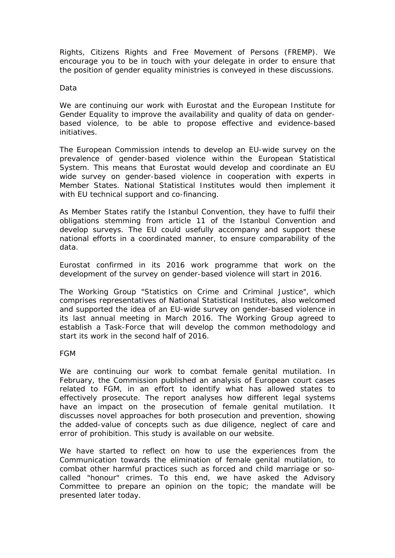Rights, Citizens Rights and Free Movement of Persons (FREMP). We encourage you to be in touch with your delegate in order to ensure that the position of gender equality ministries is conveyed in these discussions.

#### *Data*

We are continuing our work with Eurostat and the European Institute for Gender Equality to improve the availability and quality of data on genderbased violence, to be able to propose effective and evidence-based initiatives.

The European Commission intends to develop an EU-wide survey on the prevalence of gender-based violence within the European Statistical System. This means that Eurostat would develop and coordinate an EU wide survey on gender-based violence in cooperation with experts in Member States. National Statistical Institutes would then implement it with EU technical support and co-financing.

As Member States ratify the Istanbul Convention, they have to fulfil their obligations stemming from article 11 of the Istanbul Convention and develop surveys. The EU could usefully accompany and support these national efforts in a coordinated manner, to ensure comparability of the data.

Eurostat confirmed in its 2016 work programme that work on the development of the survey on gender-based violence will start in 2016.

The Working Group "Statistics on Crime and Criminal Justice", which comprises representatives of National Statistical Institutes, also welcomed and supported the idea of an EU-wide survey on gender-based violence in its last annual meeting in March 2016. The Working Group agreed to establish a Task-Force that will develop the common methodology and start its work in the second half of 2016.

## *FGM*

We are continuing our work to combat female genital mutilation. In February, the Commission published an analysis of European court cases related to FGM, in an effort to identify what has allowed states to effectively prosecute. The report analyses how different legal systems have an impact on the prosecution of female genital mutilation. It discusses novel approaches for both prosecution and prevention, showing the added-value of concepts such as due diligence, neglect of care and error of prohibition. This study is available on our website.

We have started to reflect on how to use the experiences from the Communication towards the elimination of female genital mutilation, to combat other harmful practices such as forced and child marriage or socalled "honour" crimes. To this end, we have asked the Advisory Committee to prepare an opinion on the topic; the mandate will be presented later today.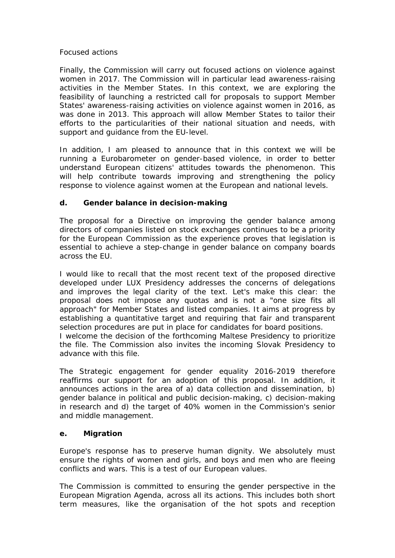## *Focused actions*

Finally, the Commission will carry out focused actions on violence against women in 2017. The Commission will in particular lead awareness-raising activities in the Member States. In this context, we are exploring the feasibility of launching a restricted call for proposals to support Member States' awareness-raising activities on violence against women in 2016, as was done in 2013. This approach will allow Member States to tailor their efforts to the particularities of their national situation and needs, with support and guidance from the EU-level.

In addition, I am pleased to announce that in this context we will be running a Eurobarometer on gender-based violence, in order to better understand European citizens' attitudes towards the phenomenon. This will help contribute towards improving and strengthening the policy response to violence against women at the European and national levels.

## **d. Gender balance in decision-making**

The proposal for a Directive on improving the gender balance among directors of companies listed on stock exchanges continues to be a priority for the European Commission as the experience proves that legislation is essential to achieve a step-change in gender balance on company boards across the EU.

I would like to recall that the most recent text of the proposed directive developed under LUX Presidency addresses the concerns of delegations and improves the legal clarity of the text. Let's make this clear: the proposal does not impose any quotas and is not a "one size fits all approach" for Member States and listed companies. It aims at progress by establishing a quantitative target and requiring that fair and transparent selection procedures are put in place for candidates for board positions. I welcome the decision of the forthcoming Maltese Presidency to prioritize the file. The Commission also invites the incoming Slovak Presidency to advance with this file.

The Strategic engagement for gender equality 2016-2019 therefore reaffirms our support for an adoption of this proposal. In addition, it announces actions in the area of a) data collection and dissemination, b) gender balance in political and public decision-making, c) decision-making in research and d) the target of 40% women in the Commission's senior and middle management.

## **e. Migration**

Europe's response has to preserve human dignity. We absolutely must ensure the rights of women and girls, and boys and men who are fleeing conflicts and wars. This is a test of our European values.

The Commission is committed to ensuring the gender perspective in the European Migration Agenda, across all its actions. This includes both short term measures, like the organisation of the hot spots and reception